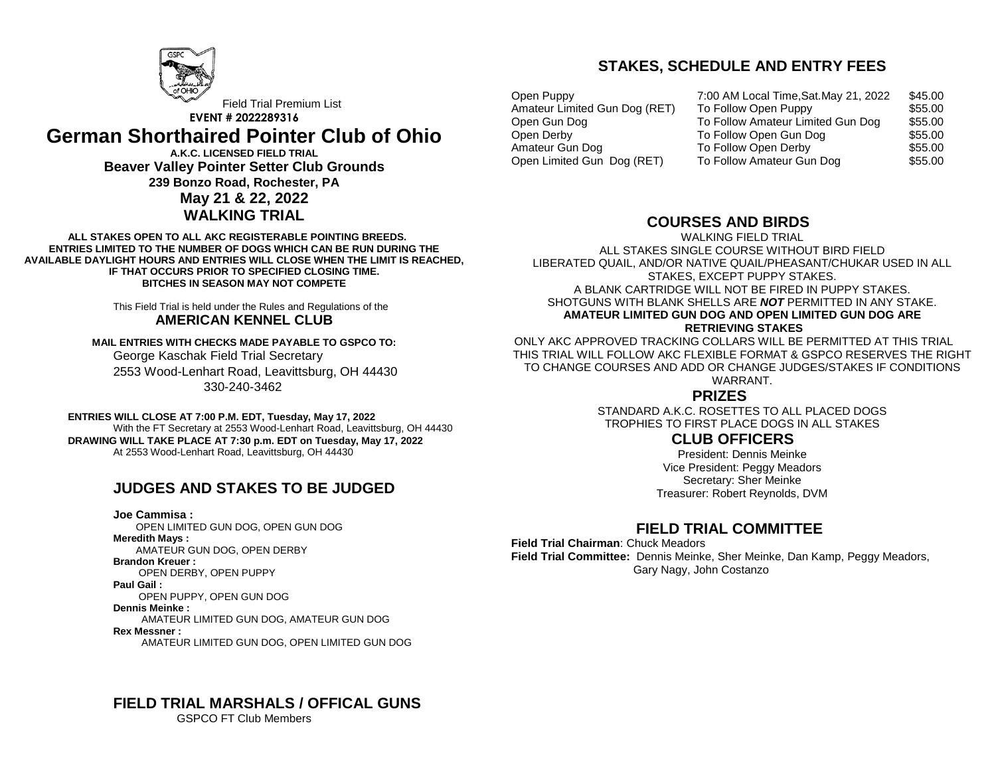

Field Trial Premium List **EVENT # 2022289316**

# **German Shorthaired Pointer Club of Ohio**

**A.K.C. LICENSED FIELD TRIAL Beaver Valley Pointer Setter Club Grounds 239 Bonzo Road, Rochester, PA May 21 & 22, 2022 WALKING TRIAL**

**ALL STAKES OPEN TO ALL AKC REGISTERABLE POINTING BREEDS. ENTRIES LIMITED TO THE NUMBER OF DOGS WHICH CAN BE RUN DURING THE AVAILABLE DAYLIGHT HOURS AND ENTRIES WILL CLOSE WHEN THE LIMIT IS REACHED, IF THAT OCCURS PRIOR TO SPECIFIED CLOSING TIME. BITCHES IN SEASON MAY NOT COMPETE**

> This Field Trial is held under the Rules and Regulations of the **AMERICAN KENNEL CLUB**

**MAIL ENTRIES WITH CHECKS MADE PAYABLE TO GSPCO TO:**  George Kaschak Field Trial Secretary 2553 Wood-Lenhart Road, Leavittsburg, OH 44430 330-240-3462

**ENTRIES WILL CLOSE AT 7:00 P.M. EDT, Tuesday, May 17, 2022** With the FT Secretary at 2553 Wood-Lenhart Road, Leavittsburg, OH 44430 **DRAWING WILL TAKE PLACE AT 7:30 p.m. EDT on Tuesday, May 17, 2022** At 2553 Wood-Lenhart Road, Leavittsburg, OH 44430

# **JUDGES AND STAKES TO BE JUDGED**

**Joe Cammisa :**  OPEN LIMITED GUN DOG, OPEN GUN DOG **Meredith Mays :**  AMATEUR GUN DOG, OPEN DERBY **Brandon Kreuer :**  OPEN DERBY, OPEN PUPPY **Paul Gail :**  OPEN PUPPY, OPEN GUN DOG **Dennis Meinke :** AMATEUR LIMITED GUN DOG, AMATEUR GUN DOG **Rex Messner :** AMATEUR LIMITED GUN DOG, OPEN LIMITED GUN DOG

Amateur Limited Gun Dog (RET) Open Gun Dog Open Derby Amateur Gun Dog

Open Puppy 7:00 AM Local Time,Sat.May 21, 2022 \$45.00 To Follow Open Puppy To Follow Amateur Limited Gun Dog \$55.00 \$55.00 To Follow Open Gun Dog To Follow Open Derby \$55.00 \$55.00 Open Limited Gun Dog (RET) To Follow Amateur Gun Dog \$55.00

## **COURSES AND BIRDS**

WALKING FIELD TRIAL ALL STAKES SINGLE COURSE WITHOUT BIRD FIELD LIBERATED QUAIL, AND/OR NATIVE QUAIL/PHEASANT/CHUKAR USED IN ALL STAKES, EXCEPT PUPPY STAKES. A BLANK CARTRIDGE WILL NOT BE FIRED IN PUPPY STAKES. SHOTGUNS WITH BLANK SHELLS ARE *NOT* PERMITTED IN ANY STAKE. **AMATEUR LIMITED GUN DOG AND OPEN LIMITED GUN DOG ARE RETRIEVING STAKES** 

**STAKES, SCHEDULE AND ENTRY FEES**

ONLY AKC APPROVED TRACKING COLLARS WILL BE PERMITTED AT THIS TRIAL THIS TRIAL WILL FOLLOW AKC FLEXIBLE FORMAT & GSPCO RESERVES THE RIGHT TO CHANGE COURSES AND ADD OR CHANGE JUDGES/STAKES IF CONDITIONS WARRANT.

### **PRIZES**

STANDARD A.K.C. ROSETTES TO ALL PLACED DOGS TROPHIES TO FIRST PLACE DOGS IN ALL STAKES

### **CLUB OFFICERS**

President: Dennis Meinke Vice President: Peggy Meadors Secretary: Sher Meinke Treasurer: Robert Reynolds, DVM

# **FIELD TRIAL COMMITTEE**

**Field Trial Chairman**: Chuck Meadors **Field Trial Committee:** Dennis Meinke, Sher Meinke, Dan Kamp, Peggy Meadors, Gary Nagy, John Costanzo

#### **FIELD TRIAL MARSHALS / OFFICAL GUNS** GSPCO FT Club Members